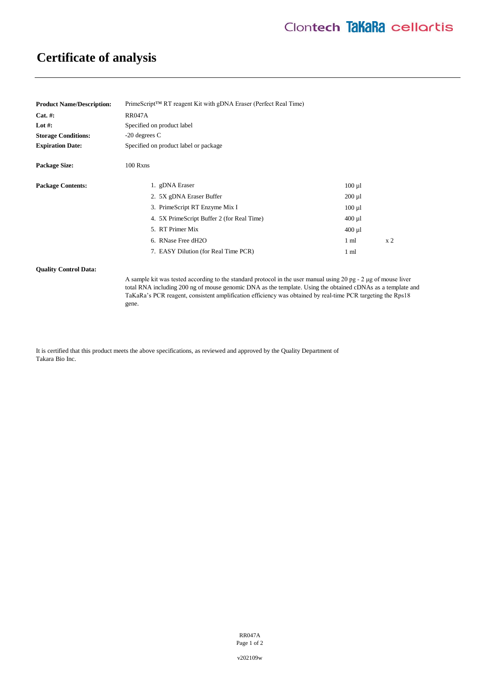# **Certificate of analysis**

| <b>Product Name/Description:</b> | $PrimeScript^{TM} RT$ reagent Kit with gDNA Eraser (Perfect Real Time) |                 |                |
|----------------------------------|------------------------------------------------------------------------|-----------------|----------------|
| Cat. #:                          | <b>RR047A</b>                                                          |                 |                |
| Lot #:                           | Specified on product label                                             |                 |                |
| <b>Storage Conditions:</b>       | $-20$ degrees C                                                        |                 |                |
| <b>Expiration Date:</b>          | Specified on product label or package                                  |                 |                |
| <b>Package Size:</b>             | $100$ Rxns                                                             |                 |                |
| <b>Package Contents:</b>         | 1. gDNA Eraser                                                         | $100 \mu l$     |                |
|                                  | 2. 5X gDNA Eraser Buffer                                               | $200 \mu l$     |                |
|                                  | 3. PrimeScript RT Enzyme Mix I                                         | $100 \mu l$     |                |
|                                  | 4. 5X PrimeScript Buffer 2 (for Real Time)                             | $400 \mu$ 1     |                |
|                                  | 5. RT Primer Mix                                                       | $400 \mu l$     |                |
|                                  | 6. RNase Free dH2O                                                     | 1 <sub>m1</sub> | x <sub>2</sub> |
|                                  | 7. EASY Dilution (for Real Time PCR)                                   | $1 \text{ ml}$  |                |
|                                  |                                                                        |                 |                |

#### **Quality Control Data:**

A sample kit was tested according to the standard protocol in the user manual using 20 pg - 2 μg of mouse liver total RNA including 200 ng of mouse genomic DNA as the template. Using the obtained cDNAs as a template and TaKaRa's PCR reagent, consistent amplification efficiency was obtained by real-time PCR targeting the Rps18 gene.

It is certified that this product meets the above specifications, as reviewed and approved by the Quality Department of Takara Bio Inc.

> RR047A Page 1 of 2

v202109w